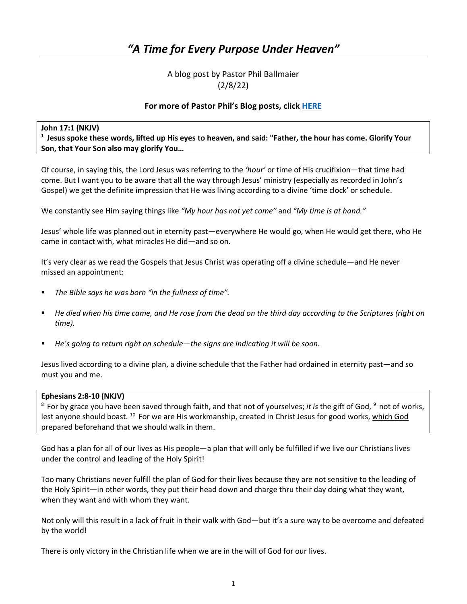# *"A Time for Every Purpose Under Heaven"*

## A blog post by Pastor Phil Ballmaier (2/8/22)

## **For more of Pastor Phil's Blog posts, click [HERE](http://www.ccelkgrove.org/pastors-blog)**

## **John 17:1 (NKJV)**

**1 Jesus spoke these words, lifted up His eyes to heaven, and said: "Father, the hour has come. Glorify Your Son, that Your Son also may glorify You…** 

Of course, in saying this, the Lord Jesus was referring to the *'hour'* or time of His crucifixion—that time had come. But I want you to be aware that all the way through Jesus' ministry (especially as recorded in John's Gospel) we get the definite impression that He was living according to a divine 'time clock' or schedule.

We constantly see Him saying things like *"My hour has not yet come"* and *"My time is at hand."*

Jesus' whole life was planned out in eternity past—everywhere He would go, when He would get there, who He came in contact with, what miracles He did—and so on.

It's very clear as we read the Gospels that Jesus Christ was operating off a divine schedule—and He never missed an appointment:

- *The Bible says he was born "in the fullness of time".*
- *He died when his time came, and He rose from the dead on the third day according to the Scriptures (right on time).*
- *He's going to return right on schedule—the signs are indicating it will be soon.*

Jesus lived according to a divine plan, a divine schedule that the Father had ordained in eternity past—and so must you and me.

#### **Ephesians 2:8-10 (NKJV)**

<sup>8</sup> For by grace you have been saved through faith, and that not of yourselves; *it is* the gift of God, <sup>9</sup> not of works, lest anyone should boast. <sup>10</sup> For we are His workmanship, created in Christ Jesus for good works, which God prepared beforehand that we should walk in them.

God has a plan for all of our lives as His people—a plan that will only be fulfilled if we live our Christians lives under the control and leading of the Holy Spirit!

Too many Christians never fulfill the plan of God for their lives because they are not sensitive to the leading of the Holy Spirit—in other words, they put their head down and charge thru their day doing what they want, when they want and with whom they want.

Not only will this result in a lack of fruit in their walk with God—but it's a sure way to be overcome and defeated by the world!

There is only victory in the Christian life when we are in the will of God for our lives.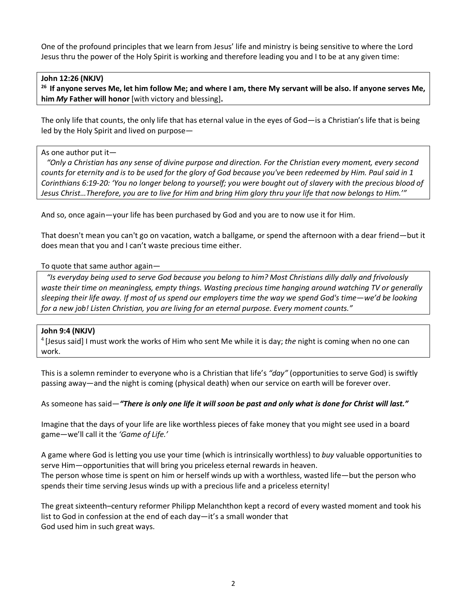One of the profound principles that we learn from Jesus' life and ministry is being sensitive to where the Lord Jesus thru the power of the Holy Spirit is working and therefore leading you and I to be at any given time:

#### **John 12:26 (NKJV)**

**26 If anyone serves Me, let him follow Me; and where I am, there My servant will be also. If anyone serves Me, him** *My* **Father will honor** [with victory and blessing]**.** 

The only life that counts, the only life that has eternal value in the eyes of God—is a Christian's life that is being led by the Holy Spirit and lived on purpose—

#### As one author put it—

 *"Only a Christian has any sense of divine purpose and direction. For the Christian every moment, every second counts for eternity and is to be used for the glory of God because you've been redeemed by Him. Paul said in 1 Corinthians 6:19-20: 'You no longer belong to yourself; you were bought out of slavery with the precious blood of Jesus Christ…Therefore, you are to live for Him and bring Him glory thru your life that now belongs to Him.'"*

And so, once again—your life has been purchased by God and you are to now use it for Him.

That doesn't mean you can't go on vacation, watch a ballgame, or spend the afternoon with a dear friend—but it does mean that you and I can't waste precious time either.

#### To quote that same author again—

 *"Is everyday being used to serve God because you belong to him? Most Christians dilly dally and frivolously waste their time on meaningless, empty things. Wasting precious time hanging around watching TV or generally sleeping their life away. If most of us spend our employers time the way we spend God's time—we'd be looking for a new job! Listen Christian, you are living for an eternal purpose. Every moment counts."* 

#### **John 9:4 (NKJV)**

4 [Jesus said] I must work the works of Him who sent Me while it is day; *the* night is coming when no one can work.

This is a solemn reminder to everyone who is a Christian that life's *"day"* (opportunities to serve God) is swiftly passing away—and the night is coming (physical death) when our service on earth will be forever over.

As someone has said—*"There is only one life it will soon be past and only what is done for Christ will last."*

Imagine that the days of your life are like worthless pieces of fake money that you might see used in a board game—we'll call it the *'Game of Life.'*

A game where God is letting you use your time (which is intrinsically worthless) to *buy* valuable opportunities to serve Him—opportunities that will bring you priceless eternal rewards in heaven. The person whose time is spent on him or herself winds up with a worthless, wasted life—but the person who spends their time serving Jesus winds up with a precious life and a priceless eternity!

The great sixteenth–century reformer Philipp Melanchthon kept a record of every wasted moment and took his list to God in confession at the end of each day—it's a small wonder that God used him in such great ways.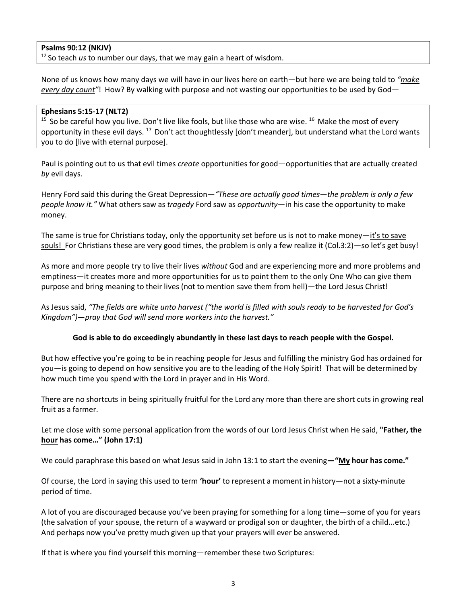## **Psalms 90:12 (NKJV)**

12 So teach *us* to number our days, that we may gain a heart of wisdom.

None of us knows how many days we will have in our lives here on earth—but here we are being told to *"make every day count"*! How? By walking with purpose and not wasting our opportunities to be used by God—

## **Ephesians 5:15-17 (NLT2)**

 $15$  So be careful how you live. Don't live like fools, but like those who are wise.  $16$  Make the most of every opportunity in these evil days. 17 Don't act thoughtlessly [don't meander], but understand what the Lord wants you to do [live with eternal purpose].

Paul is pointing out to us that evil times *create* opportunities for good—opportunities that are actually created *by* evil days.

Henry Ford said this during the Great Depression*—"These are actually good times—the problem is only a few people know it."* What others saw as *tragedy* Ford saw as *opportunity*—in his case the opportunity to make money.

The same is true for Christians today, only the opportunity set before us is not to make money—it's to save souls! For Christians these are very good times, the problem is only a few realize it (Col.3:2)—so let's get busy!

As more and more people try to live their lives *without* God and are experiencing more and more problems and emptiness—it creates more and more opportunities for us to point them to the only One Who can give them purpose and bring meaning to their lives (not to mention save them from hell)—the Lord Jesus Christ!

As Jesus said, *"The fields are white unto harvest ("the world is filled with souls ready to be harvested for God's Kingdom")—pray that God will send more workers into the harvest."*

## **God is able to do exceedingly abundantly in these last days to reach people with the Gospel.**

But how effective you're going to be in reaching people for Jesus and fulfilling the ministry God has ordained for you—is going to depend on how sensitive you are to the leading of the Holy Spirit! That will be determined by how much time you spend with the Lord in prayer and in His Word.

There are no shortcuts in being spiritually fruitful for the Lord any more than there are short cuts in growing real fruit as a farmer.

Let me close with some personal application from the words of our Lord Jesus Christ when He said, **"Father, the hour has come…" (John 17:1)**

We could paraphrase this based on what Jesus said in John 13:1 to start the evening**—"My hour has come."**

Of course, the Lord in saying this used to term **'hour'** to represent a moment in history—not a sixty-minute period of time.

A lot of you are discouraged because you've been praying for something for a long time—some of you for years (the salvation of your spouse, the return of a wayward or prodigal son or daughter, the birth of a child...etc.) And perhaps now you've pretty much given up that your prayers will ever be answered.

If that is where you find yourself this morning—remember these two Scriptures: